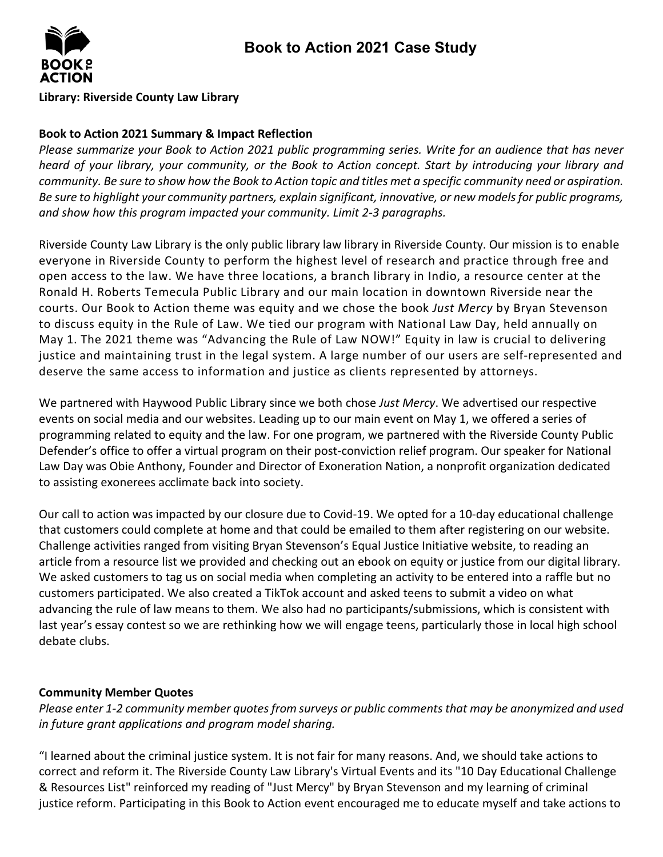

#### **Library: Riverside County Law Library**

## **Book to Action 2021 Summary & Impact Reflection**

*Please summarize your Book to Action 2021 public programming series. Write for an audience that has never heard of your library, your community, or the Book to Action concept. Start by introducing your library and community. Be sure to show how the Book to Action topic and titles met a specific community need or aspiration. Be sure to highlight your community partners, explain significant, innovative, or new models for public programs, and show how this program impacted your community. Limit 2-3 paragraphs.*

Riverside County Law Library is the only public library law library in Riverside County. Our mission is to enable everyone in Riverside County to perform the highest level of research and practice through free and open access to the law. We have three locations, a branch library in Indio, a resource center at the Ronald H. Roberts Temecula Public Library and our main location in downtown Riverside near the courts. Our Book to Action theme was equity and we chose the book *Just Mercy* by Bryan Stevenson to discuss equity in the Rule of Law. We tied our program with National Law Day, held annually on May 1. The 2021 theme was "Advancing the Rule of Law NOW!" Equity in law is crucial to delivering justice and maintaining trust in the legal system. A large number of our users are self-represented and deserve the same access to information and justice as clients represented by attorneys.

We partnered with Haywood Public Library since we both chose *Just Mercy*. We advertised our respective events on social media and our websites. Leading up to our main event on May 1, we offered a series of programming related to equity and the law. For one program, we partnered with the Riverside County Public Defender's office to offer a virtual program on their post-conviction relief program. Our speaker for National Law Day was Obie Anthony, Founder and Director of Exoneration Nation, a nonprofit organization dedicated to assisting exonerees acclimate back into society.

Our call to action was impacted by our closure due to Covid-19. We opted for a 10-day educational challenge that customers could complete at home and that could be emailed to them after registering on our website. Challenge activities ranged from visiting Bryan Stevenson's Equal Justice Initiative website, to reading an article from a resource list we provided and checking out an ebook on equity or justice from our digital library. We asked customers to tag us on social media when completing an activity to be entered into a raffle but no customers participated. We also created a TikTok account and asked teens to submit a video on what advancing the rule of law means to them. We also had no participants/submissions, which is consistent with last year's essay contest so we are rethinking how we will engage teens, particularly those in local high school debate clubs.

### **Community Member Quotes**

*Please enter 1-2 community member quotes from surveys or public comments that may be anonymized and used in future grant applications and program model sharing.* 

"I learned about the criminal justice system. It is not fair for many reasons. And, we should take actions to correct and reform it. The Riverside County Law Library's Virtual Events and its "10 Day Educational Challenge & Resources List" reinforced my reading of "Just Mercy" by Bryan Stevenson and my learning of criminal justice reform. Participating in this Book to Action event encouraged me to educate myself and take actions to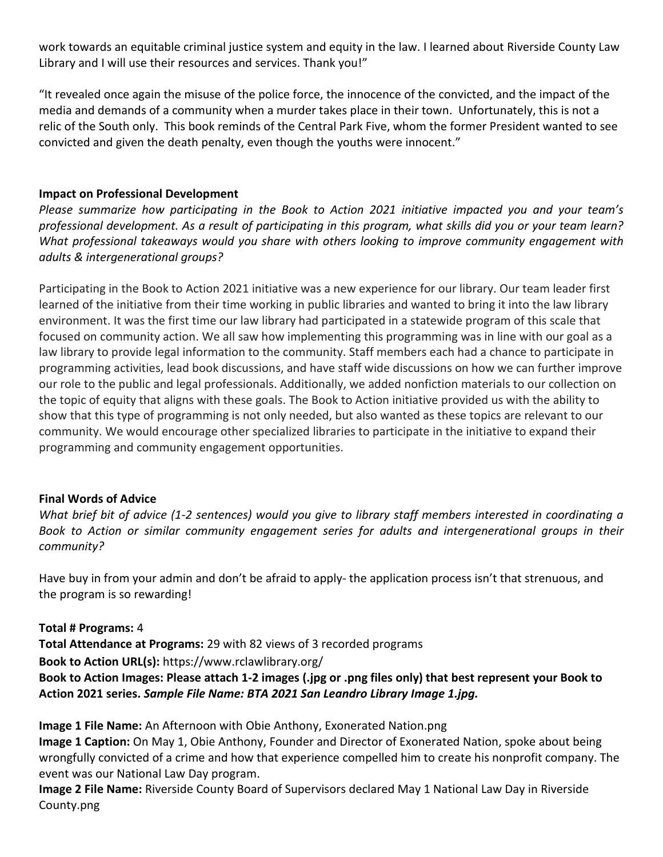work towards an equitable criminal justice system and equity in the law. I learned about Riverside County Law Library and I will use their resources and services. Thank you!"

"It revealed once again the misuse of the police force, the innocence of the convicted, and the impact of the media and demands of a community when a murder takes place in their town. Unfortunately, this is not a relic of the South only. This book reminds of the Central Park Five, whom the former President wanted to see convicted and given the death penalty, even though the youths were innocent."

# **Impact on Professional Development**

*Please summarize how participating in the Book to Action 2021 initiative impacted you and your team's professional development. As a result of participating in this program, what skills did you or your team learn? What professional takeaways would you share with others looking to improve community engagement with adults & intergenerational groups?*

Participating in the Book to Action 2021 initiative was a new experience for our library. Our team leader first learned of the initiative from their time working in public libraries and wanted to bring it into the law library environment. It was the first time our law library had participated in a statewide program of this scale that focused on community action. We all saw how implementing this programming was in line with our goal as a law library to provide legal information to the community. Staff members each had a chance to participate in programming activities, lead book discussions, and have staff wide discussions on how we can further improve our role to the public and legal professionals. Additionally, we added nonfiction materials to our collection on the topic of equity that aligns with these goals. The Book to Action initiative provided us with the ability to show that this type of programming is not only needed, but also wanted as these topics are relevant to our community. We would encourage other specialized libraries to participate in the initiative to expand their programming and community engagement opportunities.

### **Final Words of Advice**

*What brief bit of advice (1-2 sentences) would you give to library staff members interested in coordinating a Book to Action or similar community engagement series for adults and intergenerational groups in their community?*

Have buy in from your admin and don't be afraid to apply- the application process isn't that strenuous, and the program is so rewarding!

**Total # Programs:** 4 **Total Attendance at Programs:** 29 with 82 views of 3 recorded programs **Book to Action URL(s):** https://www.rclawlibrary.org/ **Book to Action Images: Please attach 1-2 images (.jpg or .png files only) that best represent your Book to Action 2021 series.** *Sample File Name: BTA 2021 San Leandro Library Image 1.jpg.*

**Image 1 File Name:** An Afternoon with Obie Anthony, Exonerated Nation.png

**Image 1 Caption:** On May 1, Obie Anthony, Founder and Director of Exonerated Nation, spoke about being wrongfully convicted of a crime and how that experience compelled him to create his nonprofit company. The event was our National Law Day program.

**Image 2 File Name:** Riverside County Board of Supervisors declared May 1 National Law Day in Riverside County.png